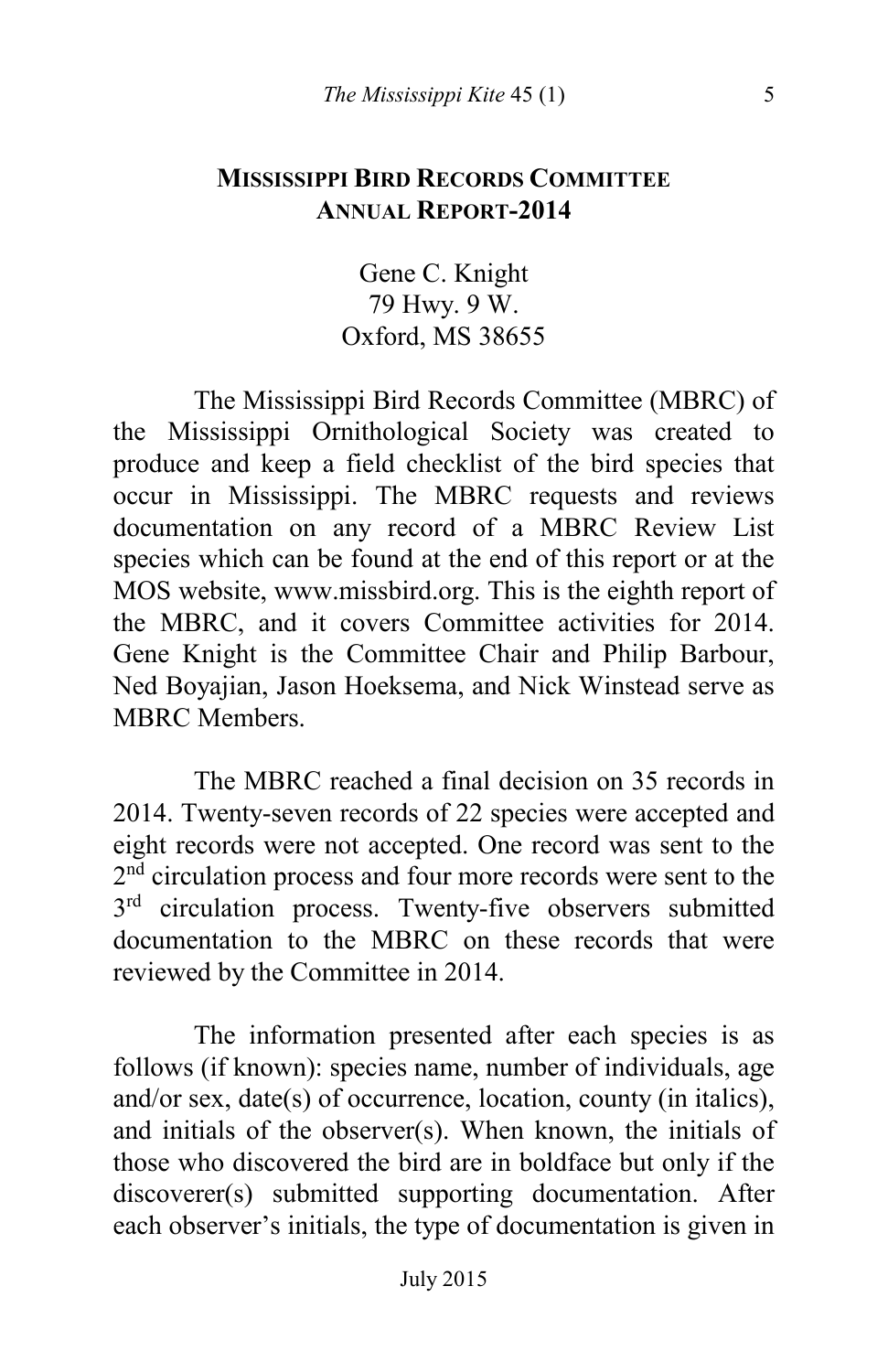#### **MISSISSIPPI BIRD RECORDS COMMITTEE ANNUAL REPORT-2014**

Gene C. Knight 79 Hwy. 9 W. Oxford, MS 38655

The Mississippi Bird Records Committee (MBRC) of the Mississippi Ornithological Society was created to produce and keep a field checklist of the bird species that occur in Mississippi. The MBRC requests and reviews documentation on any record of a MBRC Review List species which can be found at the end of this report or at the MOS website, www.missbird.org. This is the eighth report of the MBRC, and it covers Committee activities for 2014. Gene Knight is the Committee Chair and Philip Barbour, Ned Boyajian, Jason Hoeksema, and Nick Winstead serve as MBRC Members.

The MBRC reached a final decision on 35 records in 2014. Twenty-seven records of 22 species were accepted and eight records were not accepted. One record was sent to the 2<sup>nd</sup> circulation process and four more records were sent to the 3<sup>rd</sup> circulation process. Twenty-five observers submitted documentation to the MBRC on these records that were reviewed by the Committee in 2014.

The information presented after each species is as follows (if known): species name, number of individuals, age and/or sex, date(s) of occurrence, location, county (in italics), and initials of the observer(s). When known, the initials of those who discovered the bird are in boldface but only if the discoverer(s) submitted supporting documentation. After each observer's initials, the type of documentation is given in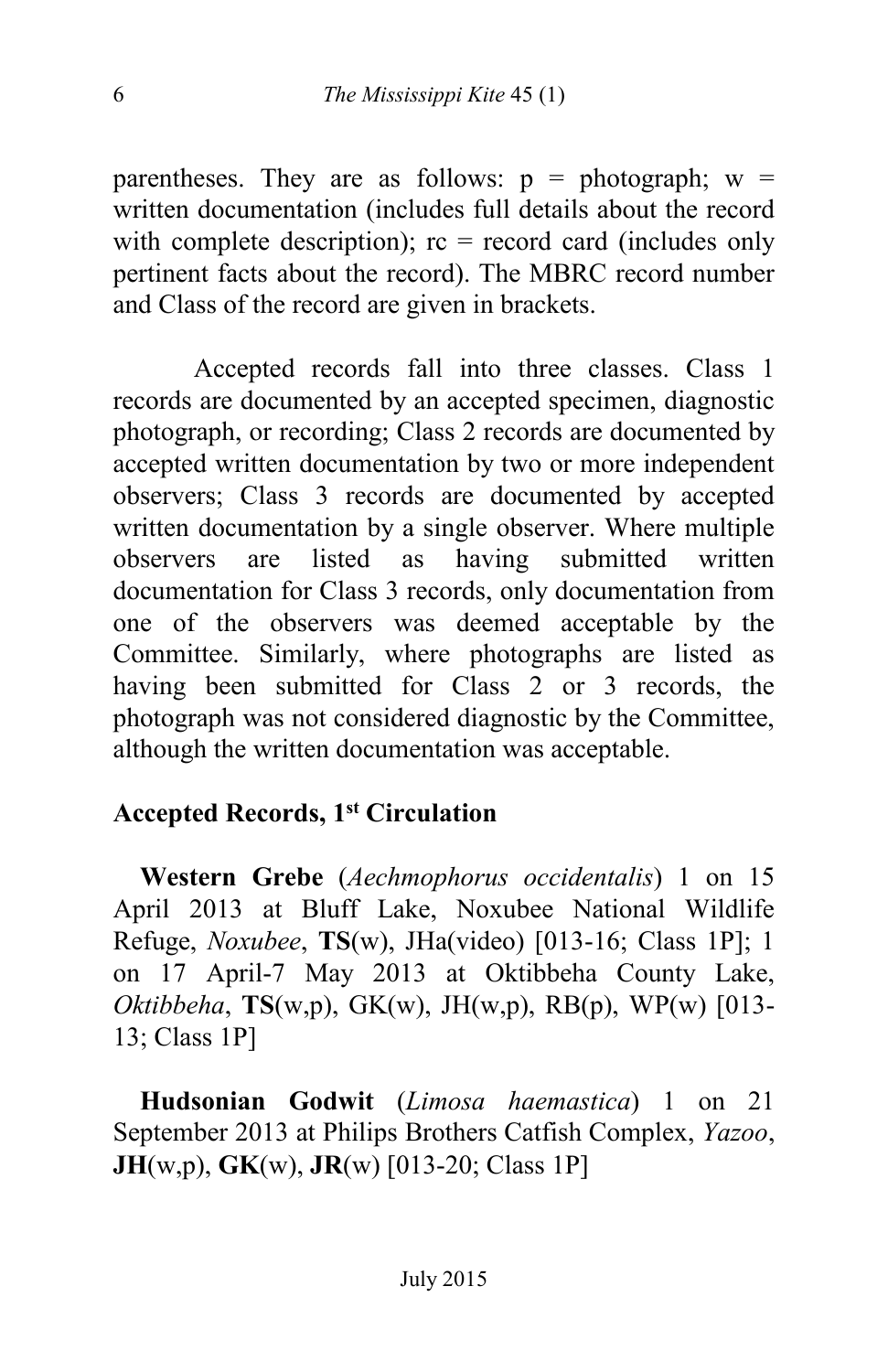parentheses. They are as follows:  $p = photographic w =$ written documentation (includes full details about the record with complete description);  $rc = record \, card$  (includes only pertinent facts about the record). The MBRC record number and Class of the record are given in brackets.

Accepted records fall into three classes. Class 1 records are documented by an accepted specimen, diagnostic photograph, or recording; Class 2 records are documented by accepted written documentation by two or more independent observers; Class 3 records are documented by accepted written documentation by a single observer. Where multiple observers are listed as having submitted written documentation for Class 3 records, only documentation from one of the observers was deemed acceptable by the Committee. Similarly, where photographs are listed as having been submitted for Class 2 or 3 records, the photograph was not considered diagnostic by the Committee, although the written documentation was acceptable.

## **Accepted Records, 1st Circulation**

 **Western Grebe** (*Aechmophorus occidentalis*) 1 on 15 April 2013 at Bluff Lake, Noxubee National Wildlife Refuge, *Noxubee*, **TS**(w), JHa(video) [013-16; Class 1P]; 1 on 17 April-7 May 2013 at Oktibbeha County Lake, *Oktibbeha*, **TS**(w,p), GK(w), JH(w,p), RB(p), WP(w) [013- 13; Class 1P]

 **Hudsonian Godwit** (*Limosa haemastica*) 1 on 21 September 2013 at Philips Brothers Catfish Complex, *Yazoo*, **JH**(w,p), **GK**(w), **JR**(w) [013-20; Class 1P]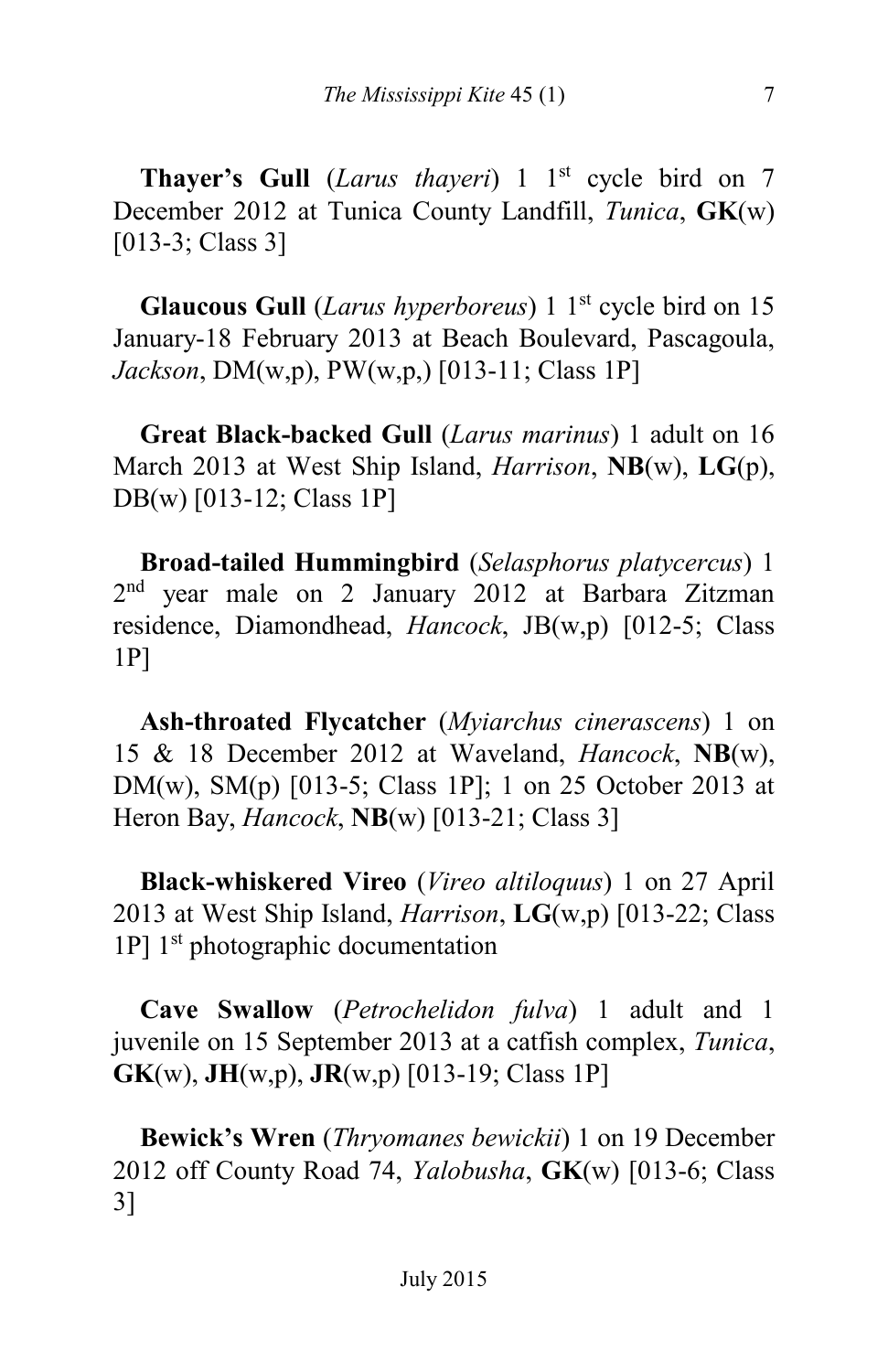**Thayer's Gull** (*Larus thayeri*) 1 1<sup>st</sup> cycle bird on 7 December 2012 at Tunica County Landfill, *Tunica*, **GK**(w) [013-3; Class 3]

**Glaucous Gull** *(Larus hyperboreus)* 1 1<sup>st</sup> cycle bird on 15 January-18 February 2013 at Beach Boulevard, Pascagoula, *Jackson*, DM(w,p), PW(w,p,) [013-11; Class 1P]

 **Great Black-backed Gull** (*Larus marinus*) 1 adult on 16 March 2013 at West Ship Island, *Harrison*, **NB**(w), **LG**(p), DB(w) [013-12; Class 1P]

 **Broad-tailed Hummingbird** (*Selasphorus platycercus*) 1 2 nd year male on 2 January 2012 at Barbara Zitzman residence, Diamondhead, *Hancock*, JB(w,p) [012-5; Class 1P]

 **Ash-throated Flycatcher** (*Myiarchus cinerascens*) 1 on 15 & 18 December 2012 at Waveland, *Hancock*, **NB**(w), DM(w), SM(p) [013-5; Class 1P]; 1 on 25 October 2013 at Heron Bay, *Hancock*, **NB**(w) [013-21; Class 3]

 **Black-whiskered Vireo** (*Vireo altiloquus*) 1 on 27 April 2013 at West Ship Island, *Harrison*, **LG**(w,p) [013-22; Class  $1P$ ]  $1<sup>st</sup>$  photographic documentation

 **Cave Swallow** (*Petrochelidon fulva*) 1 adult and 1 juvenile on 15 September 2013 at a catfish complex, *Tunica*, **GK**(w), **JH**(w,p), **JR**(w,p) [013-19; Class 1P]

 **Bewick's Wren** (*Thryomanes bewickii*) 1 on 19 December 2012 off County Road 74, *Yalobusha*, **GK**(w) [013-6; Class 3]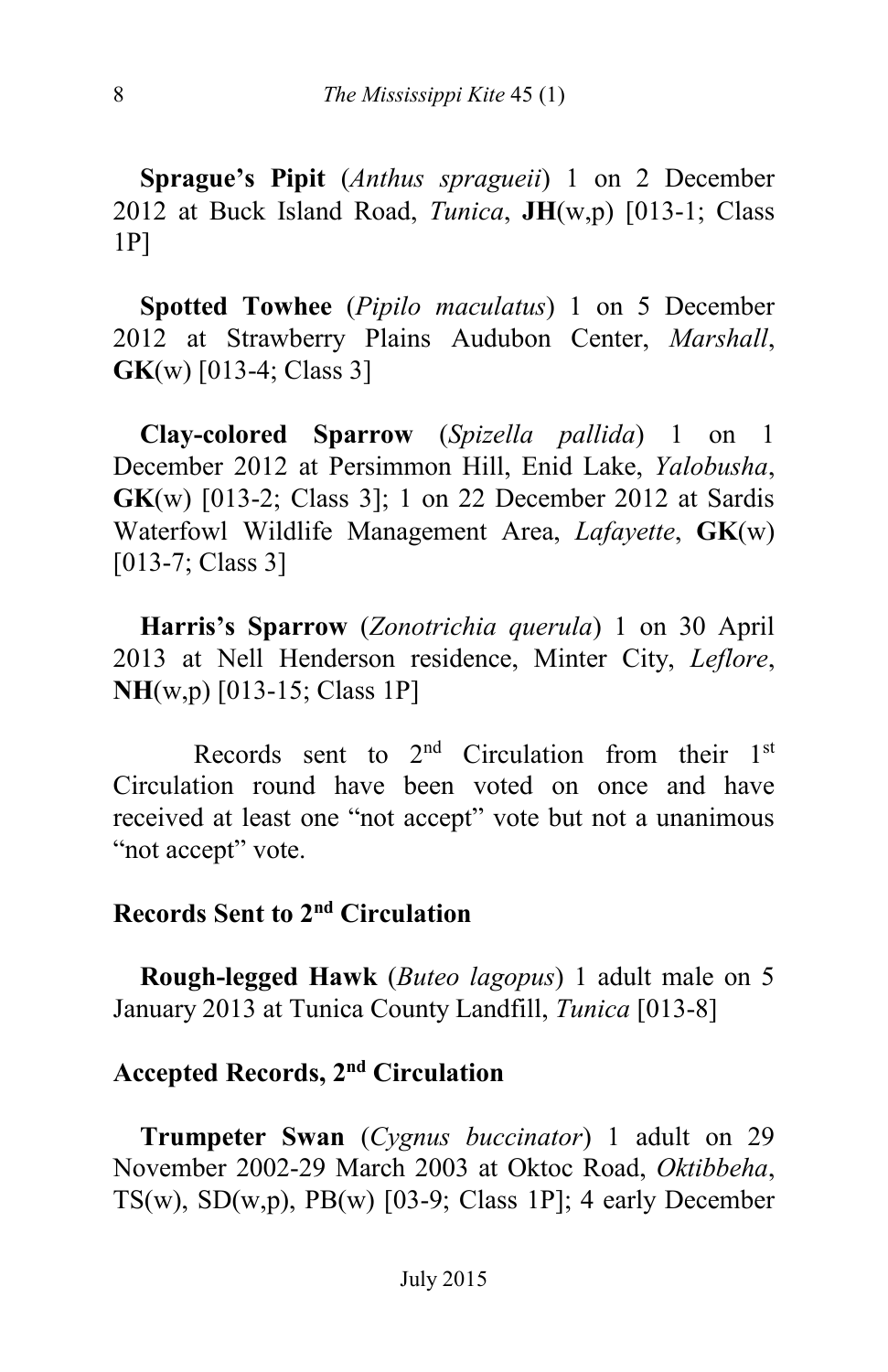**Sprague's Pipit** (*Anthus spragueii*) 1 on 2 December 2012 at Buck Island Road, *Tunica*, **JH**(w,p) [013-1; Class 1P]

 **Spotted Towhee** (*Pipilo maculatus*) 1 on 5 December 2012 at Strawberry Plains Audubon Center, *Marshall*, **GK**(w) [013-4; Class 3]

 **Clay-colored Sparrow** (*Spizella pallida*) 1 on 1 December 2012 at Persimmon Hill, Enid Lake, *Yalobusha*, **GK**(w) [013-2; Class 3]; 1 on 22 December 2012 at Sardis Waterfowl Wildlife Management Area, *Lafayette*, **GK**(w) [013-7; Class 3]

 **Harris's Sparrow** (*Zonotrichia querula*) 1 on 30 April 2013 at Nell Henderson residence, Minter City, *Leflore*, **NH**(w,p) [013-15; Class 1P]

Records sent to  $2<sup>nd</sup>$  Circulation from their  $1<sup>st</sup>$ Circulation round have been voted on once and have received at least one "not accept" vote but not a unanimous "not accept" vote.

## **Records Sent to 2nd Circulation**

 **Rough-legged Hawk** (*Buteo lagopus*) 1 adult male on 5 January 2013 at Tunica County Landfill, *Tunica* [013-8]

#### **Accepted Records, 2nd Circulation**

 **Trumpeter Swan** (*Cygnus buccinator*) 1 adult on 29 November 2002-29 March 2003 at Oktoc Road, *Oktibbeha*, TS(w), SD(w,p), PB(w)  $[03-9; Class 1P]$ ; 4 early December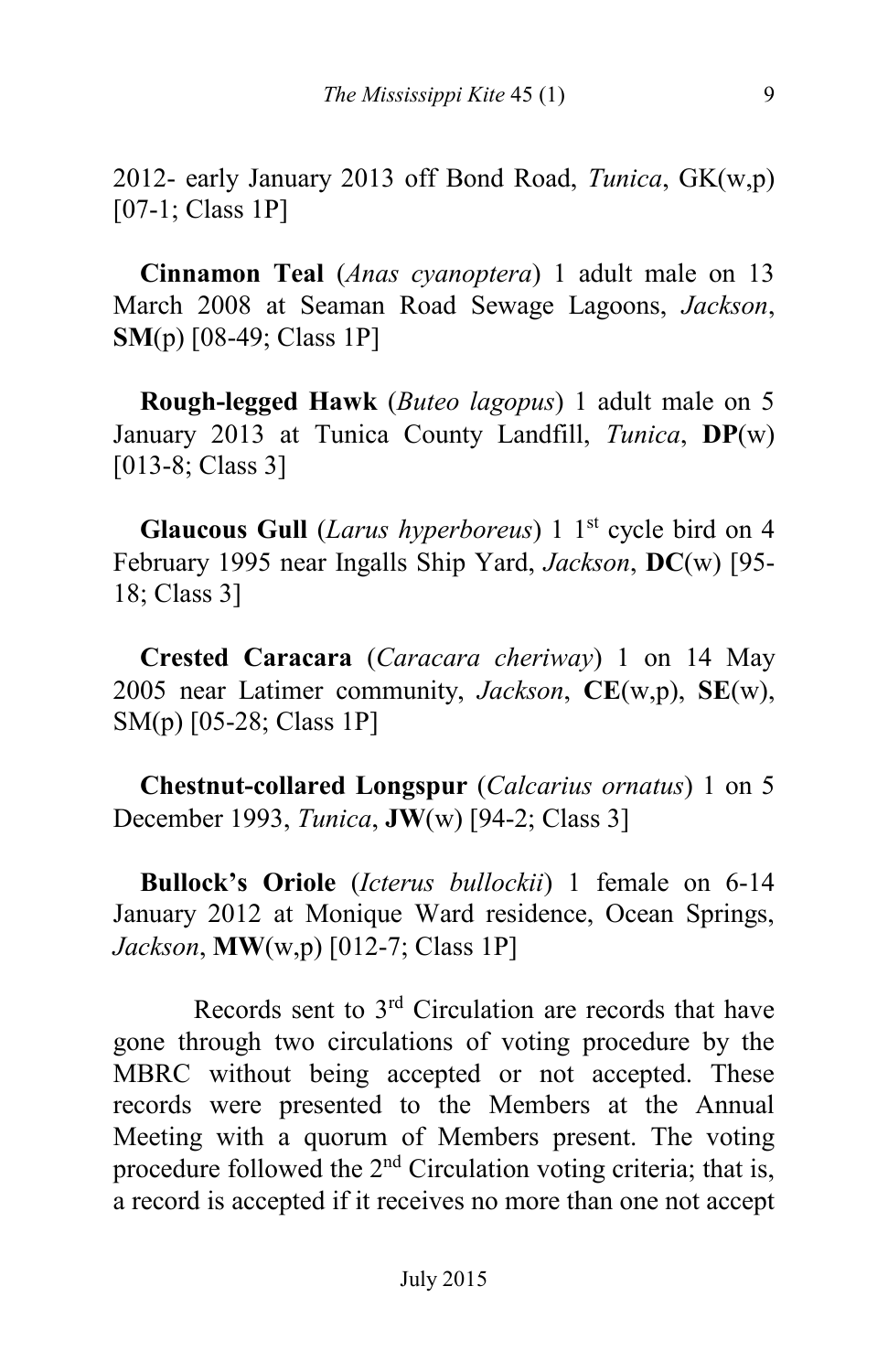2012- early January 2013 off Bond Road, *Tunica*, GK(w,p) [07-1; Class 1P]

 **Cinnamon Teal** (*Anas cyanoptera*) 1 adult male on 13 March 2008 at Seaman Road Sewage Lagoons, *Jackson*, **SM**(p) [08-49; Class 1P]

 **Rough-legged Hawk** (*Buteo lagopus*) 1 adult male on 5 January 2013 at Tunica County Landfill, *Tunica*, **DP**(w) [013-8; Class 3]

**Glaucous Gull** *(Larus hyperboreus)* 1 1<sup>st</sup> cycle bird on 4 February 1995 near Ingalls Ship Yard, *Jackson*, **DC**(w) [95- 18; Class 3]

 **Crested Caracara** (*Caracara cheriway*) 1 on 14 May 2005 near Latimer community, *Jackson*, **CE**(w,p), **SE**(w), SM(p) [05-28; Class 1P]

 **Chestnut-collared Longspur** (*Calcarius ornatus*) 1 on 5 December 1993, *Tunica*, **JW**(w) [94-2; Class 3]

 **Bullock's Oriole** (*Icterus bullockii*) 1 female on 6-14 January 2012 at Monique Ward residence, Ocean Springs, *Jackson*, **MW**(w,p) [012-7; Class 1P]

Records sent to 3rd Circulation are records that have gone through two circulations of voting procedure by the MBRC without being accepted or not accepted. These records were presented to the Members at the Annual Meeting with a quorum of Members present. The voting procedure followed the 2<sup>nd</sup> Circulation voting criteria; that is, a record is accepted if it receives no more than one not accept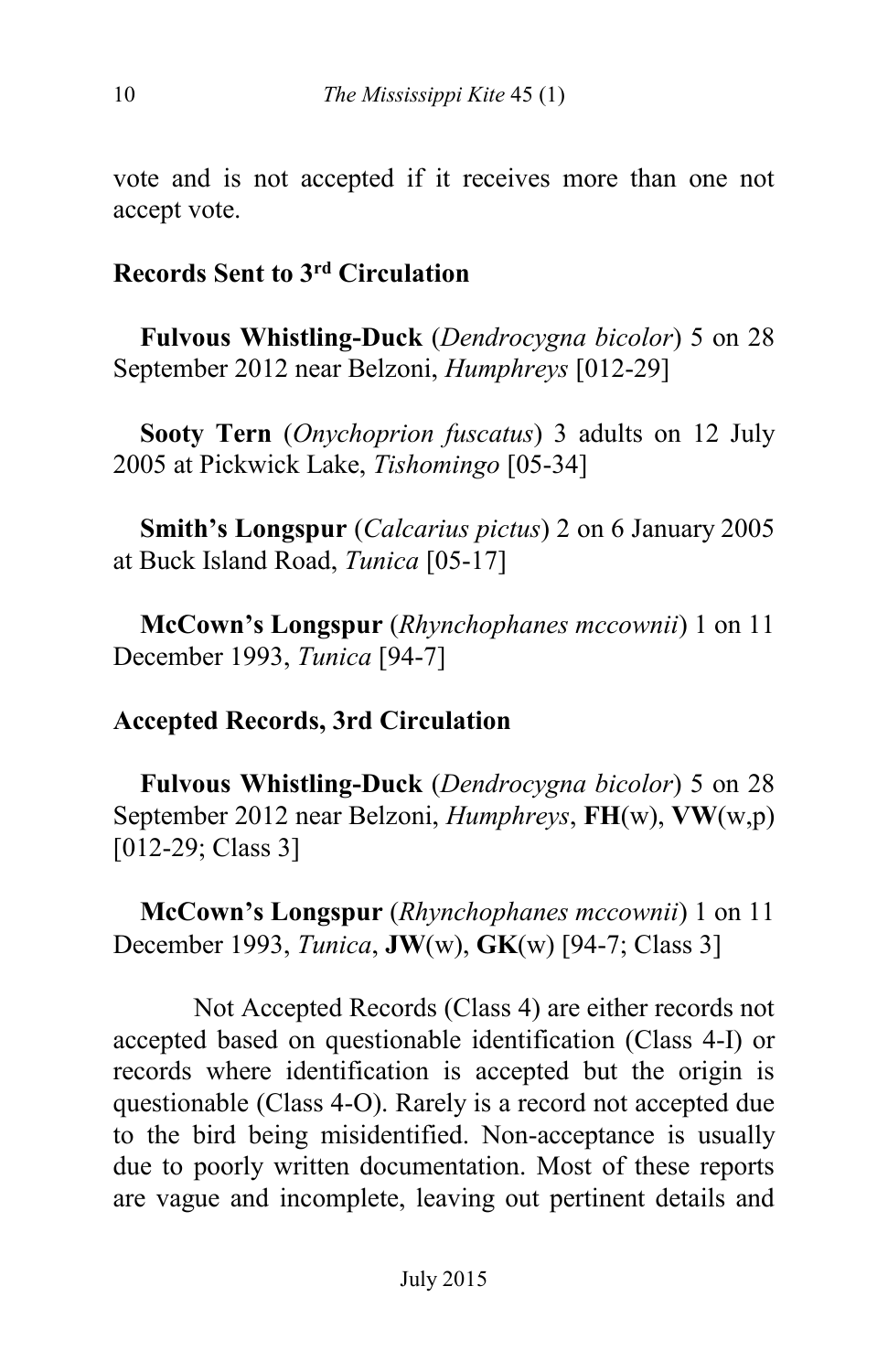vote and is not accepted if it receives more than one not accept vote.

# **Records Sent to 3rd Circulation**

 **Fulvous Whistling-Duck** (*Dendrocygna bicolor*) 5 on 28 September 2012 near Belzoni, *Humphreys* [012-29]

 **Sooty Tern** (*Onychoprion fuscatus*) 3 adults on 12 July 2005 at Pickwick Lake, *Tishomingo* [05-34]

 **Smith's Longspur** (*Calcarius pictus*) 2 on 6 January 2005 at Buck Island Road, *Tunica* [05-17]

 **McCown's Longspur** (*Rhynchophanes mccownii*) 1 on 11 December 1993, *Tunica* [94-7]

## **Accepted Records, 3rd Circulation**

 **Fulvous Whistling-Duck** (*Dendrocygna bicolor*) 5 on 28 September 2012 near Belzoni, *Humphreys*, **FH**(w), **VW**(w,p) [012-29; Class 3]

 **McCown's Longspur** (*Rhynchophanes mccownii*) 1 on 11 December 1993, *Tunica*, **JW**(w), **GK**(w) [94-7; Class 3]

Not Accepted Records (Class 4) are either records not accepted based on questionable identification (Class 4-I) or records where identification is accepted but the origin is questionable (Class 4-O). Rarely is a record not accepted due to the bird being misidentified. Non-acceptance is usually due to poorly written documentation. Most of these reports are vague and incomplete, leaving out pertinent details and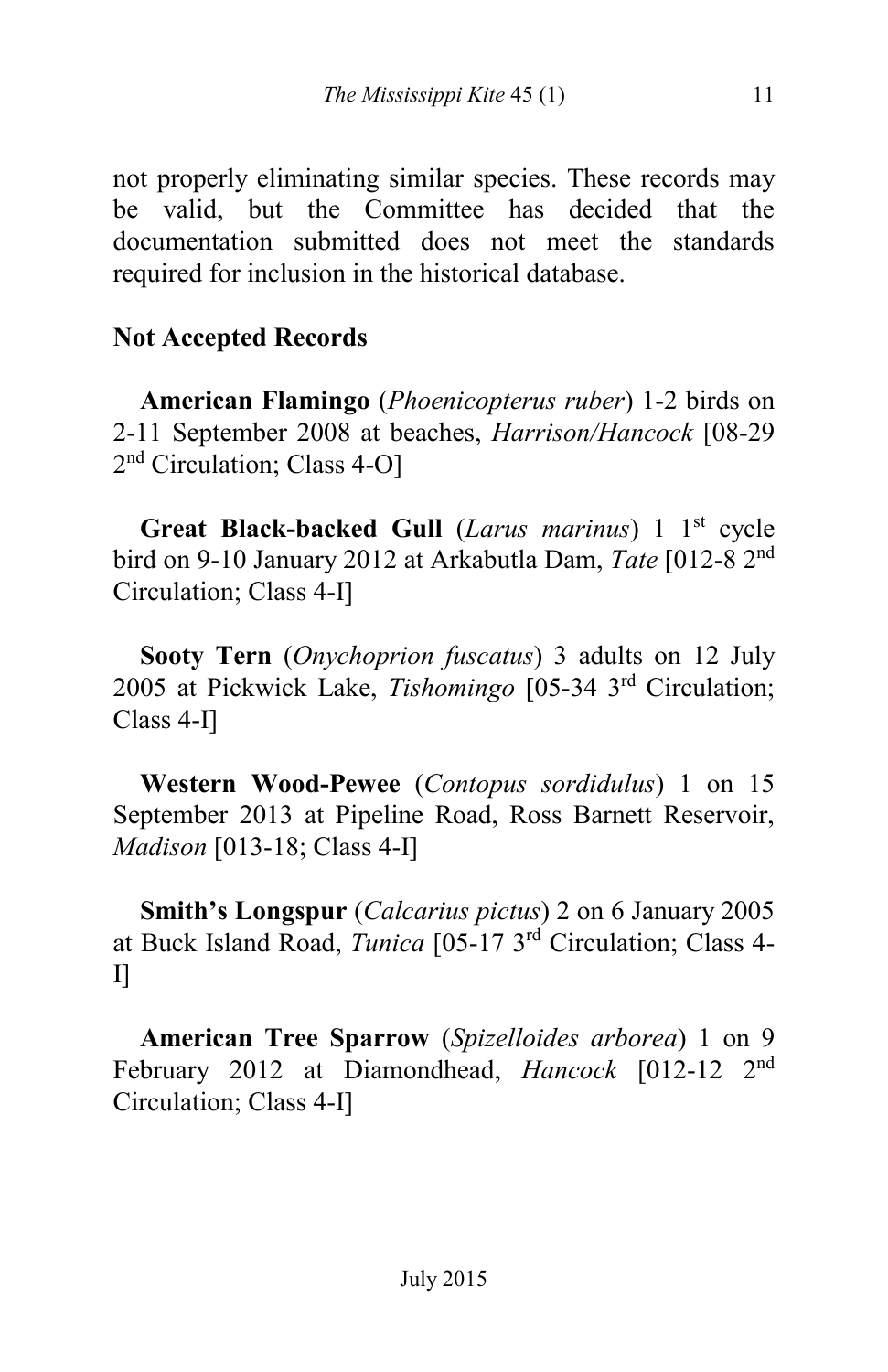not properly eliminating similar species. These records may be valid, but the Committee has decided that the documentation submitted does not meet the standards required for inclusion in the historical database.

# **Not Accepted Records**

 **American Flamingo** (*Phoenicopterus ruber*) 1-2 birds on 2-11 September 2008 at beaches, *Harrison/Hancock* [08-29 2<sup>nd</sup> Circulation; Class 4-O]

 **Great Black-backed Gull** (*Larus marinus*) 1 1st cycle bird on 9-10 January 2012 at Arkabutla Dam, *Tate* [012-8 2nd Circulation; Class 4-I]

 **Sooty Tern** (*Onychoprion fuscatus*) 3 adults on 12 July 2005 at Pickwick Lake, *Tishomingo* [05-34 3rd Circulation; Class 4-I]

 **Western Wood-Pewee** (*Contopus sordidulus*) 1 on 15 September 2013 at Pipeline Road, Ross Barnett Reservoir, *Madison* [013-18; Class 4-I]

 **Smith's Longspur** (*Calcarius pictus*) 2 on 6 January 2005 at Buck Island Road, *Tunica* [05-17 3rd Circulation; Class 4-  $\prod$ 

 **American Tree Sparrow** (*Spizelloides arborea*) 1 on 9 February 2012 at Diamondhead, *Hancock* [012-12 2nd Circulation; Class 4-I]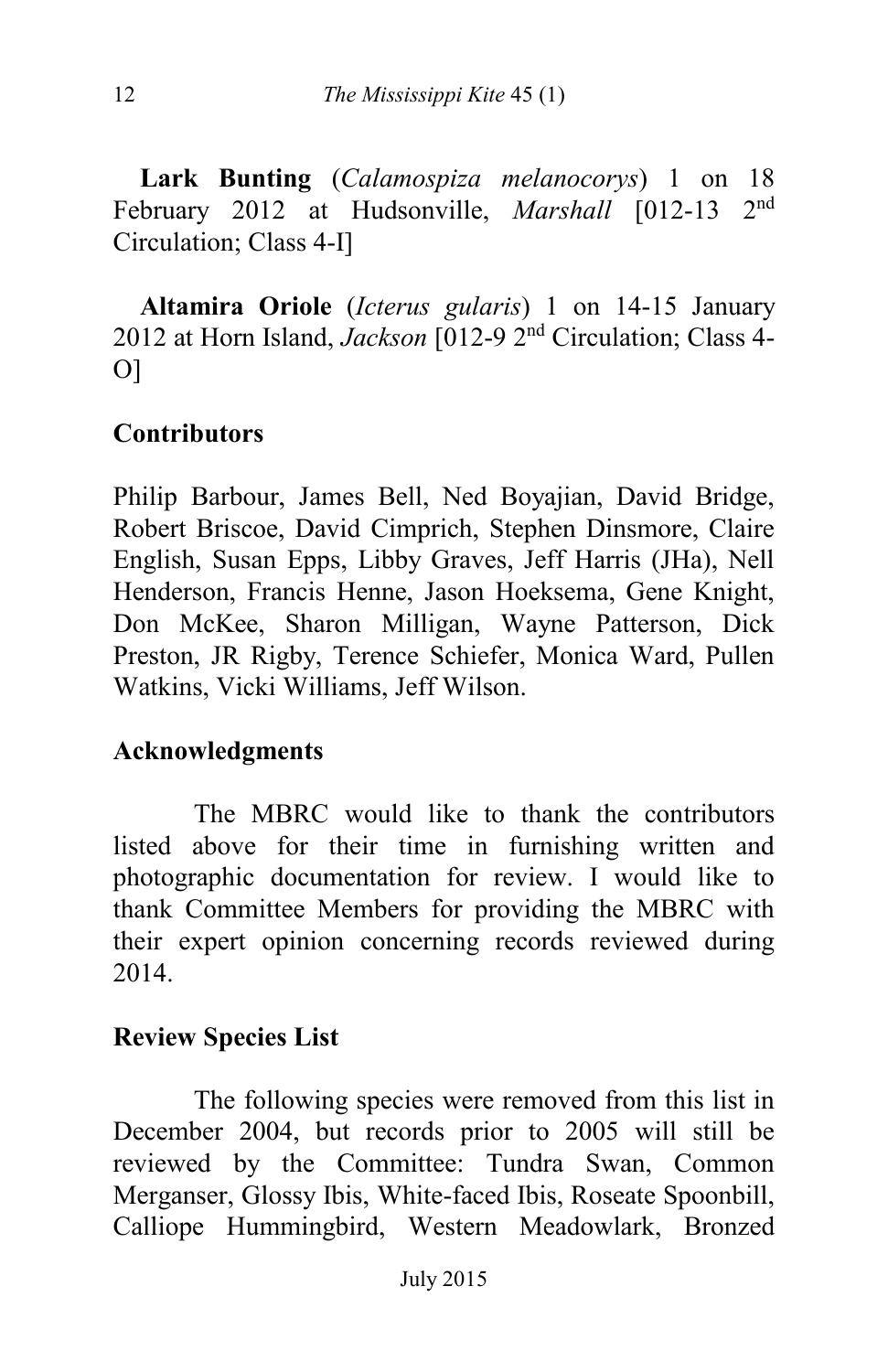**Lark Bunting** (*Calamospiza melanocorys*) 1 on 18 February 2012 at Hudsonville, *Marshall* [012-13 2nd Circulation; Class 4-I]

 **Altamira Oriole** (*Icterus gularis*) 1 on 14-15 January 2012 at Horn Island, *Jackson* [012-9 2nd Circulation; Class 4- O]

## **Contributors**

Philip Barbour, James Bell, Ned Boyajian, David Bridge, Robert Briscoe, David Cimprich, Stephen Dinsmore, Claire English, Susan Epps, Libby Graves, Jeff Harris (JHa), Nell Henderson, Francis Henne, Jason Hoeksema, Gene Knight, Don McKee, Sharon Milligan, Wayne Patterson, Dick Preston, JR Rigby, Terence Schiefer, Monica Ward, Pullen Watkins, Vicki Williams, Jeff Wilson.

#### **Acknowledgments**

The MBRC would like to thank the contributors listed above for their time in furnishing written and photographic documentation for review. I would like to thank Committee Members for providing the MBRC with their expert opinion concerning records reviewed during 2014.

#### **Review Species List**

The following species were removed from this list in December 2004, but records prior to 2005 will still be reviewed by the Committee: Tundra Swan, Common Merganser, Glossy Ibis, White-faced Ibis, Roseate Spoonbill, Calliope Hummingbird, Western Meadowlark, Bronzed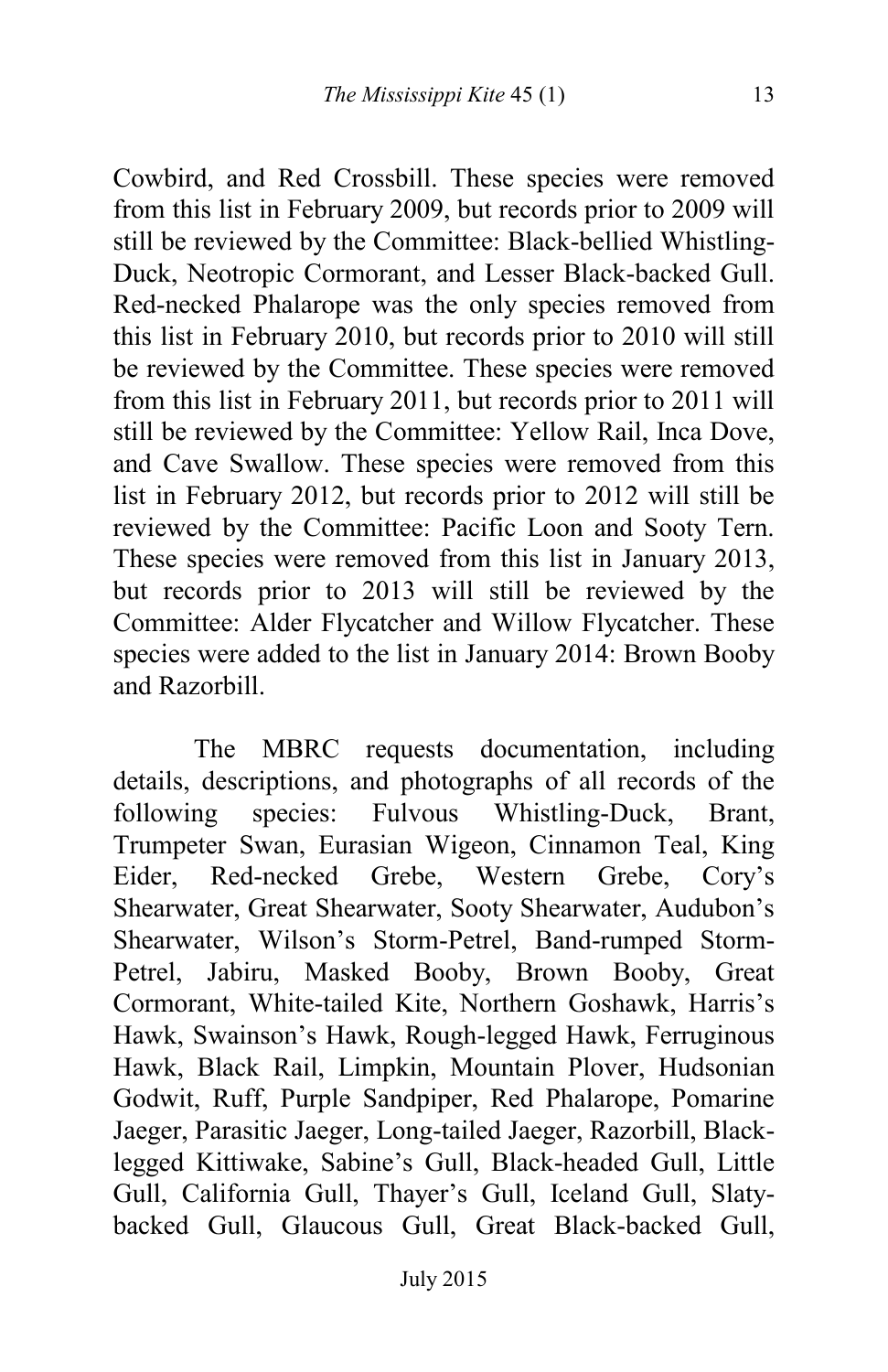Cowbird, and Red Crossbill. These species were removed from this list in February 2009, but records prior to 2009 will still be reviewed by the Committee: Black-bellied Whistling-Duck, Neotropic Cormorant, and Lesser Black-backed Gull. Red-necked Phalarope was the only species removed from this list in February 2010, but records prior to 2010 will still be reviewed by the Committee. These species were removed from this list in February 2011, but records prior to 2011 will still be reviewed by the Committee: Yellow Rail, Inca Dove, and Cave Swallow. These species were removed from this list in February 2012, but records prior to 2012 will still be reviewed by the Committee: Pacific Loon and Sooty Tern. These species were removed from this list in January 2013, but records prior to 2013 will still be reviewed by the Committee: Alder Flycatcher and Willow Flycatcher. These species were added to the list in January 2014: Brown Booby and Razorbill.

The MBRC requests documentation, including details, descriptions, and photographs of all records of the following species: Fulvous Whistling-Duck, Brant, Trumpeter Swan, Eurasian Wigeon, Cinnamon Teal, King Eider, Red-necked Grebe, Western Grebe, Cory's Shearwater, Great Shearwater, Sooty Shearwater, Audubon's Shearwater, Wilson's Storm-Petrel, Band-rumped Storm-Petrel, Jabiru, Masked Booby, Brown Booby, Great Cormorant, White-tailed Kite, Northern Goshawk, Harris's Hawk, Swainson's Hawk, Rough-legged Hawk, Ferruginous Hawk, Black Rail, Limpkin, Mountain Plover, Hudsonian Godwit, Ruff, Purple Sandpiper, Red Phalarope, Pomarine Jaeger, Parasitic Jaeger, Long-tailed Jaeger, Razorbill, Blacklegged Kittiwake, Sabine's Gull, Black-headed Gull, Little Gull, California Gull, Thayer's Gull, Iceland Gull, Slatybacked Gull, Glaucous Gull, Great Black-backed Gull,